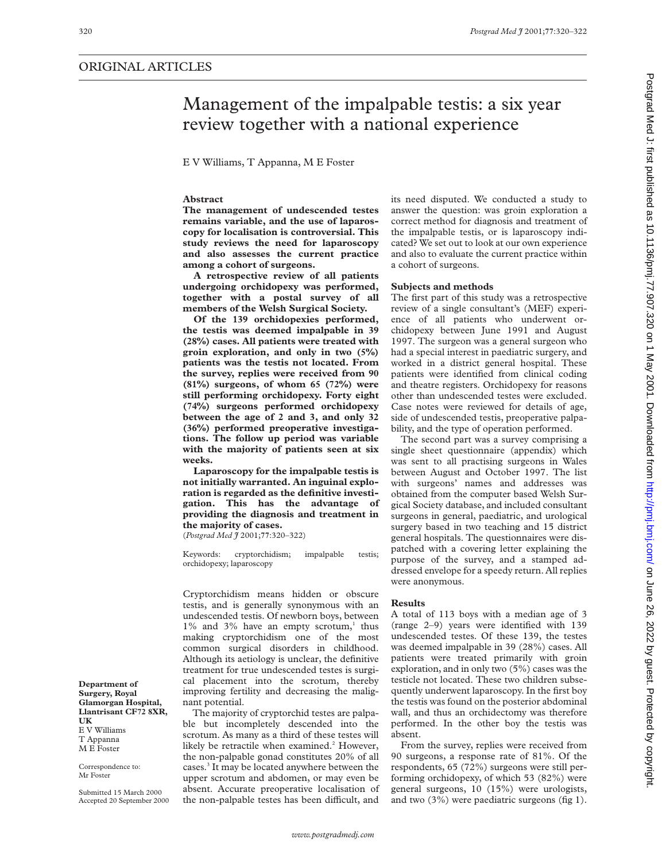## ORIGINAL ARTICLES

# Management of the impalpable testis: a six year review together with a national experience

E V Williams, T Appanna, M E Foster

## **Abstract**

**The management of undescended testes remains variable, and the use of laparoscopy for localisation is controversial. This study reviews the need for laparoscopy and also assesses the current practice among a cohort of surgeons.**

**A retrospective review of all patients undergoing orchidopexy was performed, together with a postal survey of all members of the Welsh Surgical Society.**

**Of the 139 orchidopexies performed, the testis was deemed impalpable in 39 (28%) cases. All patients were treated with groin exploration, and only in two (5%) patients was the testis not located. From the survey, replies were received from 90 (81%) surgeons, of whom 65 (72%) were still performing orchidopexy. Forty eight (74%) surgeons performed orchidopexy between the age of 2 and 3, and only 32 (36%) performed preoperative investigations. The follow up period was variable with the majority of patients seen at six weeks.**

**Laparoscopy for the impalpable testis is not initially warranted. An inguinal exploration is regarded as the definitive investigation. This has the advantage of providing the diagnosis and treatment in the majority of cases.**

(*Postgrad Med J* 2001;**77**:320–322)

Keywords: cryptorchidism; impalpable testis; orchidopexy; laparoscopy

Cryptorchidism means hidden or obscure testis, and is generally synonymous with an undescended testis. Of newborn boys, between  $1\%$  and  $3\%$  have an empty scrotum,<sup>1</sup> thus making cryptorchidism one of the most common surgical disorders in childhood. Although its aetiology is unclear, the definitive treatment for true undescended testes is surgical placement into the scrotum, thereby improving fertility and decreasing the malignant potential.

The majority of cryptorchid testes are palpable but incompletely descended into the scrotum. As many as a third of these testes will likely be retractile when examined.<sup>2</sup> However, the non-palpable gonad constitutes 20% of all cases.3 It may be located anywhere between the upper scrotum and abdomen, or may even be absent. Accurate preoperative localisation of the non-palpable testes has been difficult, and

its need disputed. We conducted a study to answer the question: was groin exploration a correct method for diagnosis and treatment of the impalpable testis, or is laparoscopy indicated? We set out to look at our own experience and also to evaluate the current practice within a cohort of surgeons.

#### **Subjects and methods**

The first part of this study was a retrospective review of a single consultant's (MEF) experience of all patients who underwent orchidopexy between June 1991 and August 1997. The surgeon was a general surgeon who had a special interest in paediatric surgery, and worked in a district general hospital. These patients were identified from clinical coding and theatre registers. Orchidopexy for reasons other than undescended testes were excluded. Case notes were reviewed for details of age, side of undescended testis, preoperative palpability, and the type of operation performed.

The second part was a survey comprising a single sheet questionnaire (appendix) which was sent to all practising surgeons in Wales between August and October 1997. The list with surgeons' names and addresses was obtained from the computer based Welsh Surgical Society database, and included consultant surgeons in general, paediatric, and urological surgery based in two teaching and 15 district general hospitals. The questionnaires were dispatched with a covering letter explaining the purpose of the survey, and a stamped addressed envelope for a speedy return. All replies were anonymous.

## **Results**

A total of 113 boys with a median age of 3 (range 2–9) years were identified with 139 undescended testes. Of these 139, the testes was deemed impalpable in 39 (28%) cases. All patients were treated primarily with groin exploration, and in only two (5%) cases was the testicle not located. These two children subsequently underwent laparoscopy. In the first boy the testis was found on the posterior abdominal wall, and thus an orchidectomy was therefore performed. In the other boy the testis was absent.

From the survey, replies were received from 90 surgeons, a response rate of 81%. Of the respondents, 65 (72%) surgeons were still performing orchidopexy, of which 53 (82%) were general surgeons, 10 (15%) were urologists, and two (3%) were paediatric surgeons (fig 1).

**Department of Surgery, Royal Glamorgan Hospital, Llantrisant CF72 8XR, UK** E V Williams T Appanna M E Foster

Correspondence to: Mr Foster

Submitted 15 March 2000 Accepted 20 September 2000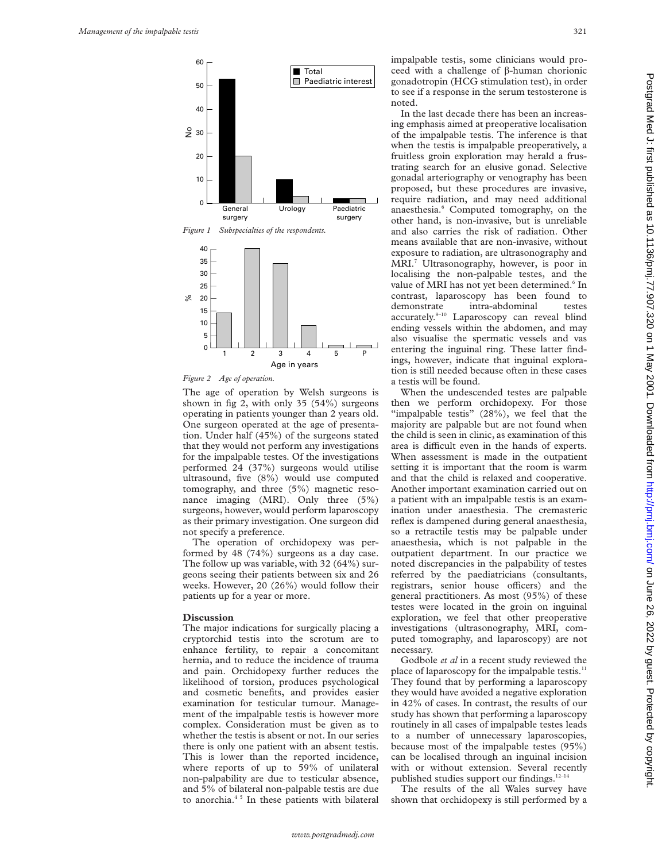



*Figure 2 Age of operation.*

The age of operation by Welsh surgeons is shown in fig 2, with only 35 (54%) surgeons operating in patients younger than 2 years old. One surgeon operated at the age of presentation. Under half (45%) of the surgeons stated that they would not perform any investigations for the impalpable testes. Of the investigations performed 24 (37%) surgeons would utilise ultrasound, five (8%) would use computed tomography, and three (5%) magnetic resonance imaging (MRI). Only three (5%) surgeons, however, would perform laparoscopy as their primary investigation. One surgeon did not specify a preference.

The operation of orchidopexy was performed by 48 (74%) surgeons as a day case. The follow up was variable, with 32 (64%) surgeons seeing their patients between six and 26 weeks. However, 20 (26%) would follow their patients up for a year or more.

#### **Discussion**

The major indications for surgically placing a cryptorchid testis into the scrotum are to enhance fertility, to repair a concomitant hernia, and to reduce the incidence of trauma and pain. Orchidopexy further reduces the likelihood of torsion, produces psychological and cosmetic benefits, and provides easier examination for testicular tumour. Management of the impalpable testis is however more complex. Consideration must be given as to whether the testis is absent or not. In our series there is only one patient with an absent testis. This is lower than the reported incidence, where reports of up to 59% of unilateral non-palpability are due to testicular absence, and 5% of bilateral non-palpable testis are due to anorchia.<sup>45</sup> In these patients with bilateral impalpable testis, some clinicians would proceed with a challenge of  $\beta$ -human chorionic gonadotropin (HCG stimulation test), in order to see if a response in the serum testosterone is noted.

In the last decade there has been an increasing emphasis aimed at preoperative localisation of the impalpable testis. The inference is that when the testis is impalpable preoperatively, a fruitless groin exploration may herald a frustrating search for an elusive gonad. Selective gonadal arteriography or venography has been proposed, but these procedures are invasive, require radiation, and may need additional anaesthesia.<sup>6</sup> Computed tomography, on the other hand, is non-invasive, but is unreliable and also carries the risk of radiation. Other means available that are non-invasive, without exposure to radiation, are ultrasonography and MRI.7 Ultrasonography, however, is poor in localising the non-palpable testes, and the value of MRI has not yet been determined.<sup>6</sup> In contrast, laparoscopy has been found to demonstrate intra-abdominal testes accurately.8–10 Laparoscopy can reveal blind ending vessels within the abdomen, and may also visualise the spermatic vessels and vas entering the inguinal ring. These latter findings, however, indicate that inguinal exploration is still needed because often in these cases a testis will be found.

When the undescended testes are palpable then we perform orchidopexy. For those "impalpable testis" (28%), we feel that the majority are palpable but are not found when the child is seen in clinic, as examination of this area is difficult even in the hands of experts. When assessment is made in the outpatient setting it is important that the room is warm and that the child is relaxed and cooperative. Another important examination carried out on a patient with an impalpable testis is an examination under anaesthesia. The cremasteric reflex is dampened during general anaesthesia, so a retractile testis may be palpable under anaesthesia, which is not palpable in the outpatient department. In our practice we noted discrepancies in the palpability of testes referred by the paediatricians (consultants, registrars, senior house officers) and the general practitioners. As most (95%) of these testes were located in the groin on inguinal exploration, we feel that other preoperative investigations (ultrasonography, MRI, computed tomography, and laparoscopy) are not necessary.

Godbole *et al* in a recent study reviewed the place of laparoscopy for the impalpable testis.<sup>11</sup> They found that by performing a laparoscopy they would have avoided a negative exploration in 42% of cases. In contrast, the results of our study has shown that performing a laparoscopy routinely in all cases of impalpable testes leads to a number of unnecessary laparoscopies, because most of the impalpable testes (95%) can be localised through an inguinal incision with or without extension. Several recently published studies support our findings.12–14

The results of the all Wales survey have shown that orchidopexy is still performed by a